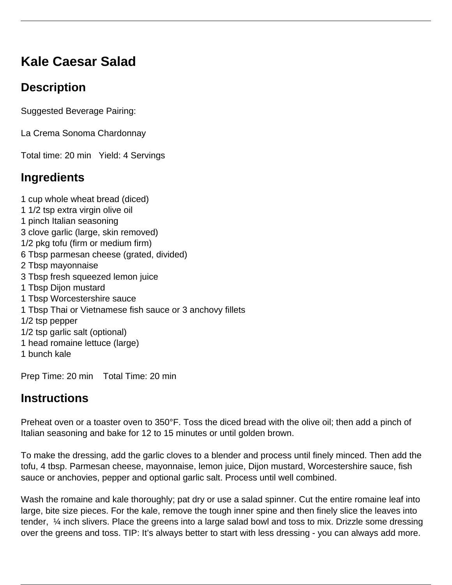# **Kale Caesar Salad**

## **Description**

Suggested Beverage Pairing:

La Crema Sonoma Chardonnay

Total time: 20 min Yield: 4 Servings

## **Ingredients**

1 cup whole wheat bread (diced) 1 1/2 tsp extra virgin olive oil 1 pinch Italian seasoning 3 clove garlic (large, skin removed) 1/2 pkg tofu (firm or medium firm) 6 Tbsp parmesan cheese (grated, divided) 2 Tbsp mayonnaise 3 Tbsp fresh squeezed lemon juice 1 Tbsp Dijon mustard 1 Tbsp Worcestershire sauce 1 Tbsp Thai or Vietnamese fish sauce or 3 anchovy fillets 1/2 tsp pepper 1/2 tsp garlic salt (optional) 1 head romaine lettuce (large)

1 bunch kale

Prep Time: 20 min Total Time: 20 min

### **Instructions**

Preheat oven or a toaster oven to 350°F. Toss the diced bread with the olive oil; then add a pinch of Italian seasoning and bake for 12 to 15 minutes or until golden brown.

To make the dressing, add the garlic cloves to a blender and process until finely minced. Then add the tofu, 4 tbsp. Parmesan cheese, mayonnaise, lemon juice, Dijon mustard, Worcestershire sauce, fish sauce or anchovies, pepper and optional garlic salt. Process until well combined.

Wash the romaine and kale thoroughly; pat dry or use a salad spinner. Cut the entire romaine leaf into large, bite size pieces. For the kale, remove the tough inner spine and then finely slice the leaves into tender, ¼ inch slivers. Place the greens into a large salad bowl and toss to mix. Drizzle some dressing over the greens and toss. TIP: It's always better to start with less dressing - you can always add more.